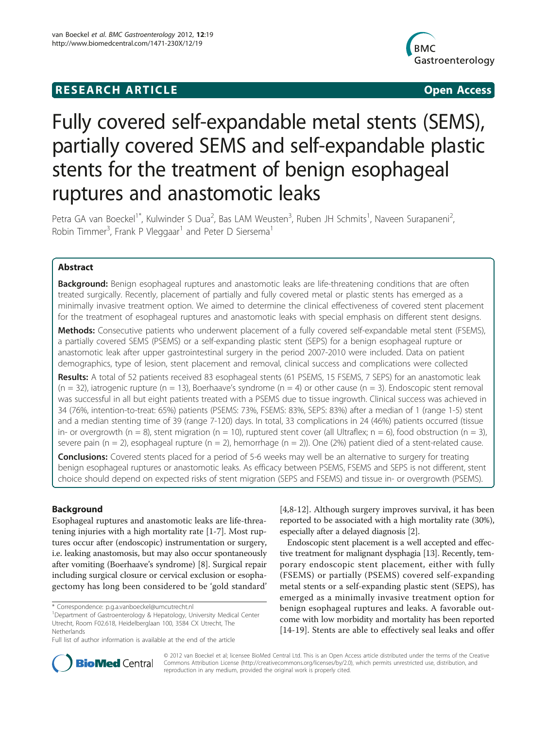## **RESEARCH ARTICLE Example 2018 12:00 Open Access**



# Fully covered self-expandable metal stents (SEMS), partially covered SEMS and self-expandable plastic stents for the treatment of benign esophageal ruptures and anastomotic leaks

Petra GA van Boeckel<sup>1\*</sup>, Kulwinder S Dua<sup>2</sup>, Bas LAM Weusten<sup>3</sup>, Ruben JH Schmits<sup>1</sup>, Naveen Surapaneni<sup>2</sup> .<br>, Robin Timmer<sup>3</sup>, Frank P Vleggaar<sup>1</sup> and Peter D Siersema<sup>1</sup>

## Abstract

Background: Benign esophageal ruptures and anastomotic leaks are life-threatening conditions that are often treated surgically. Recently, placement of partially and fully covered metal or plastic stents has emerged as a minimally invasive treatment option. We aimed to determine the clinical effectiveness of covered stent placement for the treatment of esophageal ruptures and anastomotic leaks with special emphasis on different stent designs.

Methods: Consecutive patients who underwent placement of a fully covered self-expandable metal stent (FSEMS), a partially covered SEMS (PSEMS) or a self-expanding plastic stent (SEPS) for a benign esophageal rupture or anastomotic leak after upper gastrointestinal surgery in the period 2007-2010 were included. Data on patient demographics, type of lesion, stent placement and removal, clinical success and complications were collected

Results: A total of 52 patients received 83 esophageal stents (61 PSEMS, 15 FSEMS, 7 SEPS) for an anastomotic leak  $(n = 32)$ , iatrogenic rupture  $(n = 13)$ , Boerhaave's syndrome  $(n = 4)$  or other cause  $(n = 3)$ . Endoscopic stent removal was successful in all but eight patients treated with a PSEMS due to tissue ingrowth. Clinical success was achieved in 34 (76%, intention-to-treat: 65%) patients (PSEMS: 73%, FSEMS: 83%, SEPS: 83%) after a median of 1 (range 1-5) stent and a median stenting time of 39 (range 7-120) days. In total, 33 complications in 24 (46%) patients occurred (tissue in- or overgrowth (n = 8), stent migration (n = 10), ruptured stent cover (all Ultraflex;  $n = 6$ ), food obstruction (n = 3), severe pain (n = 2), esophageal rupture (n = 2), hemorrhage (n = 2)). One (2%) patient died of a stent-related cause.

**Conclusions:** Covered stents placed for a period of 5-6 weeks may well be an alternative to surgery for treating benign esophageal ruptures or anastomotic leaks. As efficacy between PSEMS, FSEMS and SEPS is not different, stent choice should depend on expected risks of stent migration (SEPS and FSEMS) and tissue in- or overgrowth (PSEMS).

## Background

Esophageal ruptures and anastomotic leaks are life-threatening injuries with a high mortality rate [[1-7\]](#page-5-0). Most ruptures occur after (endoscopic) instrumentation or surgery, i.e. leaking anastomosis, but may also occur spontaneously after vomiting (Boerhaave's syndrome) [[8\]](#page-5-0). Surgical repair including surgical closure or cervical exclusion or esophagectomy has long been considered to be 'gold standard'

[[4,8-](#page-5-0)[12\]](#page-6-0). Although surgery improves survival, it has been reported to be associated with a high mortality rate (30%), especially after a delayed diagnosis [\[2](#page-5-0)].

Endoscopic stent placement is a well accepted and effective treatment for malignant dysphagia [[13](#page-6-0)]. Recently, temporary endoscopic stent placement, either with fully (FSEMS) or partially (PSEMS) covered self-expanding metal stents or a self-expanding plastic stent (SEPS), has emerged as a minimally invasive treatment option for benign esophageal ruptures and leaks. A favorable outcome with low morbidity and mortality has been reported [[14-19\]](#page-6-0). Stents are able to effectively seal leaks and offer



© 2012 van Boeckel et al; licensee BioMed Central Ltd. This is an Open Access article distributed under the terms of the Creative Commons Attribution License [\(http://creativecommons.org/licenses/by/2.0](http://creativecommons.org/licenses/by/2.0)), which permits unrestricted use, distribution, and reproduction in any medium, provided the original work is properly cited.

<sup>\*</sup> Correspondence: [p.g.a.vanboeckel@umcutrecht.nl](mailto:p.g.a.vanboeckel@umcutrecht.nl)

<sup>&</sup>lt;sup>1</sup>Department of Gastroenterology & Hepatology, University Medical Center Utrecht, Room F02.618, Heidelberglaan 100, 3584 CX Utrecht, The **Netherlands** 

Full list of author information is available at the end of the article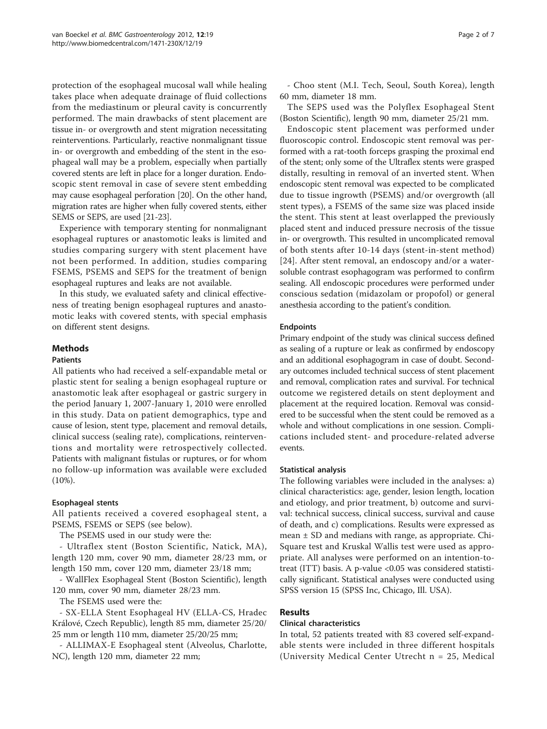protection of the esophageal mucosal wall while healing takes place when adequate drainage of fluid collections from the mediastinum or pleural cavity is concurrently performed. The main drawbacks of stent placement are tissue in- or overgrowth and stent migration necessitating reinterventions. Particularly, reactive nonmalignant tissue in- or overgrowth and embedding of the stent in the esophageal wall may be a problem, especially when partially covered stents are left in place for a longer duration. Endoscopic stent removal in case of severe stent embedding may cause esophageal perforation [\[20\]](#page-6-0). On the other hand, migration rates are higher when fully covered stents, either SEMS or SEPS, are used [\[21-23\]](#page-6-0).

Experience with temporary stenting for nonmalignant esophageal ruptures or anastomotic leaks is limited and studies comparing surgery with stent placement have not been performed. In addition, studies comparing FSEMS, PSEMS and SEPS for the treatment of benign esophageal ruptures and leaks are not available.

In this study, we evaluated safety and clinical effectiveness of treating benign esophageal ruptures and anastomotic leaks with covered stents, with special emphasis on different stent designs.

## **Methods**

#### Patients

All patients who had received a self-expandable metal or plastic stent for sealing a benign esophageal rupture or anastomotic leak after esophageal or gastric surgery in the period January 1, 2007-January 1, 2010 were enrolled in this study. Data on patient demographics, type and cause of lesion, stent type, placement and removal details, clinical success (sealing rate), complications, reinterventions and mortality were retrospectively collected. Patients with malignant fistulas or ruptures, or for whom no follow-up information was available were excluded (10%).

## Esophageal stents

All patients received a covered esophageal stent, a PSEMS, FSEMS or SEPS (see below).

The PSEMS used in our study were the:

- Ultraflex stent (Boston Scientific, Natick, MA), length 120 mm, cover 90 mm, diameter 28/23 mm, or length 150 mm, cover 120 mm, diameter 23/18 mm;

- WallFlex Esophageal Stent (Boston Scientific), length 120 mm, cover 90 mm, diameter 28/23 mm.

The FSEMS used were the:

- SX-ELLA Stent Esophageal HV (ELLA-CS, Hradec Králové, Czech Republic), length 85 mm, diameter 25/20/ 25 mm or length 110 mm, diameter 25/20/25 mm;

- ALLIMAX-E Esophageal stent (Alveolus, Charlotte, NC), length 120 mm, diameter 22 mm;

- Choo stent (M.I. Tech, Seoul, South Korea), length 60 mm, diameter 18 mm.

The SEPS used was the Polyflex Esophageal Stent (Boston Scientific), length 90 mm, diameter 25/21 mm.

Endoscopic stent placement was performed under fluoroscopic control. Endoscopic stent removal was performed with a rat-tooth forceps grasping the proximal end of the stent; only some of the Ultraflex stents were grasped distally, resulting in removal of an inverted stent. When endoscopic stent removal was expected to be complicated due to tissue ingrowth (PSEMS) and/or overgrowth (all stent types), a FSEMS of the same size was placed inside the stent. This stent at least overlapped the previously placed stent and induced pressure necrosis of the tissue in- or overgrowth. This resulted in uncomplicated removal of both stents after 10-14 days (stent-in-stent method) [[24](#page-6-0)]. After stent removal, an endoscopy and/or a watersoluble contrast esophagogram was performed to confirm sealing. All endoscopic procedures were performed under conscious sedation (midazolam or propofol) or general anesthesia according to the patient's condition.

## Endpoints

Primary endpoint of the study was clinical success defined as sealing of a rupture or leak as confirmed by endoscopy and an additional esophagogram in case of doubt. Secondary outcomes included technical success of stent placement and removal, complication rates and survival. For technical outcome we registered details on stent deployment and placement at the required location. Removal was considered to be successful when the stent could be removed as a whole and without complications in one session. Complications included stent- and procedure-related adverse events.

#### Statistical analysis

The following variables were included in the analyses: a) clinical characteristics: age, gender, lesion length, location and etiology, and prior treatment, b) outcome and survival: technical success, clinical success, survival and cause of death, and c) complications. Results were expressed as mean  $\pm$  SD and medians with range, as appropriate. Chi-Square test and Kruskal Wallis test were used as appropriate. All analyses were performed on an intention-totreat (ITT) basis. A p-value <0.05 was considered statistically significant. Statistical analyses were conducted using SPSS version 15 (SPSS Inc, Chicago, Ill. USA).

## Results

## Clinical characteristics

In total, 52 patients treated with 83 covered self-expandable stents were included in three different hospitals (University Medical Center Utrecht n = 25, Medical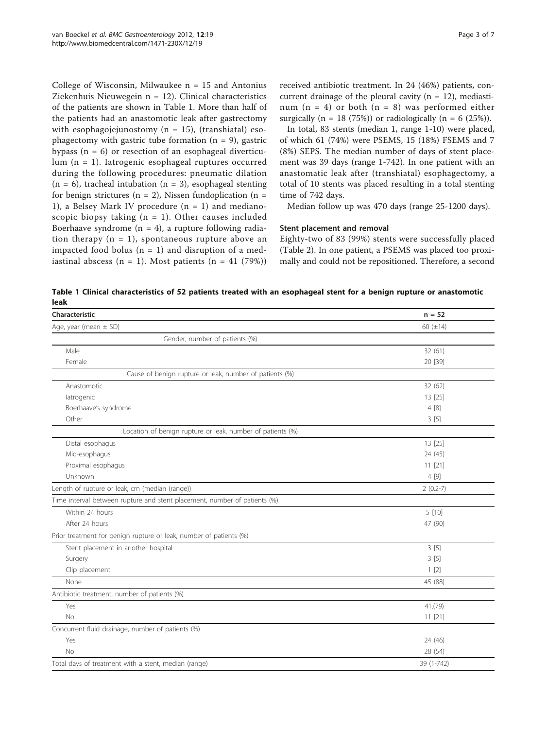College of Wisconsin, Milwaukee  $n = 15$  and Antonius Ziekenhuis Nieuwegein n = 12). Clinical characteristics of the patients are shown in Table 1. More than half of the patients had an anastomotic leak after gastrectomy with esophagojejunostomy ( $n = 15$ ), (transhiatal) esophagectomy with gastric tube formation  $(n = 9)$ , gastric bypass  $(n = 6)$  or resection of an esophageal diverticulum (n = 1). Iatrogenic esophageal ruptures occurred during the following procedures: pneumatic dilation  $(n = 6)$ , tracheal intubation  $(n = 3)$ , esophageal stenting for benign strictures ( $n = 2$ ), Nissen fundoplication ( $n =$ 1), a Belsey Mark IV procedure  $(n = 1)$  and medianoscopic biopsy taking  $(n = 1)$ . Other causes included Boerhaave syndrome  $(n = 4)$ , a rupture following radiation therapy  $(n = 1)$ , spontaneous rupture above an impacted food bolus  $(n = 1)$  and disruption of a mediastinal abscess (n = 1). Most patients (n = 41 (79%))

In total, 83 stents (median 1, range 1-10) were placed, of which 61 (74%) were PSEMS, 15 (18%) FSEMS and 7 (8%) SEPS. The median number of days of stent placement was 39 days (range 1-742). In one patient with an anastomatic leak after (transhiatal) esophagectomy, a total of 10 stents was placed resulting in a total stenting time of 742 days.

Median follow up was 470 days (range 25-1200 days).

## Stent placement and removal

Eighty-two of 83 (99%) stents were successfully placed (Table [2\)](#page-3-0). In one patient, a PSEMS was placed too proximally and could not be repositioned. Therefore, a second

Table 1 Clinical characteristics of 52 patients treated with an esophageal stent for a benign rupture or anastomotic leak

| Characteristic                                                            | $n = 52$      |
|---------------------------------------------------------------------------|---------------|
| Age, year (mean $\pm$ SD)                                                 | 60 $(\pm 14)$ |
| Gender, number of patients (%)                                            |               |
| Male                                                                      | 32 (61)       |
| Female                                                                    | 20 [39]       |
| Cause of benign rupture or leak, number of patients (%)                   |               |
| Anastomotic                                                               | 32 (62)       |
| latrogenic                                                                | 13 [25]       |
| Boerhaave's syndrome                                                      | 4[8]          |
| Other                                                                     | 3[5]          |
| Location of benign rupture or leak, number of patients (%)                |               |
| Distal esophagus                                                          | 13 [25]       |
| Mid-esophagus                                                             | 24 (45)       |
| Proximal esophagus                                                        | 11 [21]       |
| Unknown                                                                   | 4 [9]         |
| Length of rupture or leak, cm (median (range))                            | $2(0.2-7)$    |
| Time interval between rupture and stent placement, number of patients (%) |               |
| Within 24 hours                                                           | 5 [10]        |
| After 24 hours                                                            | 47 (90)       |
| Prior treatment for benign rupture or leak, number of patients (%)        |               |
| Stent placement in another hospital                                       | 3[5]          |
| Surgery                                                                   | 3[5]          |
| Clip placement                                                            | 1 [2]         |
| None                                                                      | 45 (88)       |
| Antibiotic treatment, number of patients (%)                              |               |
| Yes                                                                       | 41.(79)       |
| No.                                                                       | 11 [21]       |
| Concurrent fluid drainage, number of patients (%)                         |               |
| Yes                                                                       | 24 (46)       |
| <b>No</b>                                                                 | 28 (54)       |
| Total days of treatment with a stent, median (range)                      | 39 (1-742)    |
|                                                                           |               |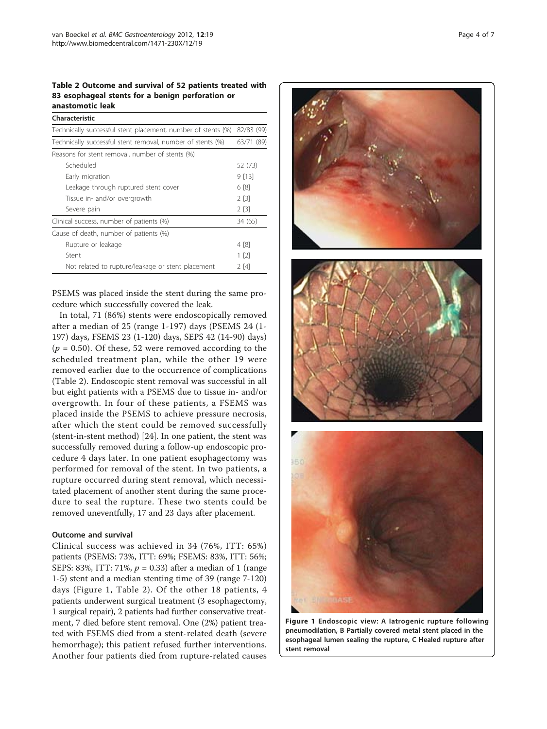<span id="page-3-0"></span>Table 2 Outcome and survival of 52 patients treated with 83 esophageal stents for a benign perforation or anastomotic leak

| Characteristic                                               |            |
|--------------------------------------------------------------|------------|
| Technically successful stent placement, number of stents (%) | 82/83 (99) |
| Technically successful stent removal, number of stents (%)   | 63/71 (89) |
| Reasons for stent removal, number of stents (%)              |            |
| Scheduled                                                    | 52 (73)    |
| Early migration                                              |            |
| Leakage through ruptured stent cover                         |            |
| Tissue in- and/or overgrowth                                 |            |
| Severe pain                                                  | 2[3]       |
| Clinical success, number of patients (%)                     | 34 (65)    |
| Cause of death, number of patients (%)                       |            |
| Rupture or leakage                                           | 4 [8]      |
| Stent                                                        | 1 [2]      |
| Not related to rupture/leakage or stent placement            | 241        |

PSEMS was placed inside the stent during the same procedure which successfully covered the leak.

In total, 71 (86%) stents were endoscopically removed after a median of 25 (range 1-197) days (PSEMS 24 (1- 197) days, FSEMS 23 (1-120) days, SEPS 42 (14-90) days)  $(p = 0.50)$ . Of these, 52 were removed according to the scheduled treatment plan, while the other 19 were removed earlier due to the occurrence of complications (Table 2). Endoscopic stent removal was successful in all but eight patients with a PSEMS due to tissue in- and/or overgrowth. In four of these patients, a FSEMS was placed inside the PSEMS to achieve pressure necrosis, after which the stent could be removed successfully (stent-in-stent method) [[24](#page-6-0)]. In one patient, the stent was successfully removed during a follow-up endoscopic procedure 4 days later. In one patient esophagectomy was performed for removal of the stent. In two patients, a rupture occurred during stent removal, which necessitated placement of another stent during the same procedure to seal the rupture. These two stents could be removed uneventfully, 17 and 23 days after placement.

## Outcome and survival

Clinical success was achieved in 34 (76%, ITT: 65%) patients (PSEMS: 73%, ITT: 69%; FSEMS: 83%, ITT: 56%; SEPS: 83%, ITT: 71%,  $p = 0.33$ ) after a median of 1 (range 1-5) stent and a median stenting time of 39 (range 7-120) days (Figure 1, Table 2). Of the other 18 patients, 4 patients underwent surgical treatment (3 esophagectomy, 1 surgical repair), 2 patients had further conservative treatment, 7 died before stent removal. One (2%) patient treated with FSEMS died from a stent-related death (severe hemorrhage); this patient refused further interventions. Another four patients died from rupture-related causes



Figure 1 Endoscopic view: A Iatrogenic rupture following pneumodilation, B Partially covered metal stent placed in the esophageal lumen sealing the rupture, C Healed rupture after stent removal.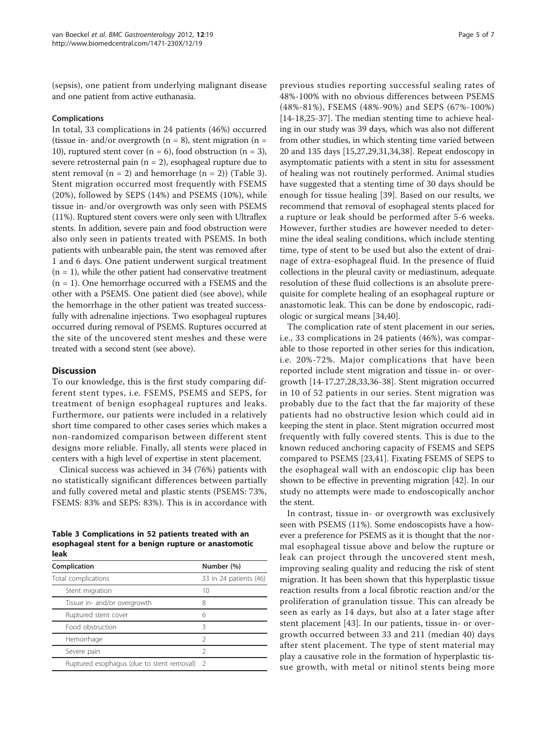(sepsis), one patient from underlying malignant disease and one patient from active euthanasia.

#### Complications

In total, 33 complications in 24 patients (46%) occurred (tissue in- and/or overgrowth  $(n = 8)$ , stent migration  $(n = 1)$ ) 10), ruptured stent cover  $(n = 6)$ , food obstruction  $(n = 3)$ , severe retrosternal pain  $(n = 2)$ , esophageal rupture due to stent removal  $(n = 2)$  and hemorrhage  $(n = 2)$  (Table 3). Stent migration occurred most frequently with FSEMS (20%), followed by SEPS (14%) and PSEMS (10%), while tissue in- and/or overgrowth was only seen with PSEMS (11%). Ruptured stent covers were only seen with Ultraflex stents. In addition, severe pain and food obstruction were also only seen in patients treated with PSEMS. In both patients with unbearable pain, the stent was removed after 1 and 6 days. One patient underwent surgical treatment  $(n = 1)$ , while the other patient had conservative treatment  $(n = 1)$ . One hemorrhage occurred with a FSEMS and the other with a PSEMS. One patient died (see above), while the hemorrhage in the other patient was treated successfully with adrenaline injections. Two esophageal ruptures occurred during removal of PSEMS. Ruptures occurred at the site of the uncovered stent meshes and these were treated with a second stent (see above).

## **Discussion**

To our knowledge, this is the first study comparing different stent types, i.e. FSEMS, PSEMS and SEPS, for treatment of benign esophageal ruptures and leaks. Furthermore, our patients were included in a relatively short time compared to other cases series which makes a non-randomized comparison between different stent designs more reliable. Finally, all stents were placed in centers with a high level of expertise in stent placement.

Clinical success was achieved in 34 (76%) patients with no statistically significant differences between partially and fully covered metal and plastic stents (PSEMS: 73%, FSEMS: 83% and SEPS: 83%). This is in accordance with

Table 3 Complications in 52 patients treated with an esophageal stent for a benign rupture or anastomotic leak

| Complication                                | Number (%)             |
|---------------------------------------------|------------------------|
| Total complications                         | 33 in 24 patients (46) |
| Stent migration                             | 10                     |
| Tissue in- and/or overgrowth                | 8                      |
| Ruptured stent cover                        | 6                      |
| Food obstruction                            | Β                      |
| Hemorrhage                                  | 2                      |
| Severe pain                                 | 2                      |
| Ruptured esophagus (due to stent removal) 2 |                        |

previous studies reporting successful sealing rates of 48%-100% with no obvious differences between PSEMS (48%-81%), FSEMS (48%-90%) and SEPS (67%-100%) [[14-18,25](#page-6-0)-[37\]](#page-6-0). The median stenting time to achieve healing in our study was 39 days, which was also not different from other studies, in which stenting time varied between 20 and 135 days [\[15,27,29,31,34,38](#page-6-0)]. Repeat endoscopy in asymptomatic patients with a stent in situ for assessment of healing was not routinely performed. Animal studies have suggested that a stenting time of 30 days should be enough for tissue healing [[39](#page-6-0)]. Based on our results, we recommend that removal of esophageal stents placed for a rupture or leak should be performed after 5-6 weeks. However, further studies are however needed to determine the ideal sealing conditions, which include stenting time, type of stent to be used but also the extent of drainage of extra-esophageal fluid. In the presence of fluid collections in the pleural cavity or mediastinum, adequate resolution of these fluid collections is an absolute prerequisite for complete healing of an esophageal rupture or anastomotic leak. This can be done by endoscopic, radiologic or surgical means [\[34,40\]](#page-6-0).

The complication rate of stent placement in our series, i.e., 33 complications in 24 patients (46%), was comparable to those reported in other series for this indication, i.e. 20%-72%. Major complications that have been reported include stent migration and tissue in- or overgrowth [[14](#page-6-0)-[17,27,28,33,36](#page-6-0)-[38](#page-6-0)]. Stent migration occurred in 10 of 52 patients in our series. Stent migration was probably due to the fact that the far majority of these patients had no obstructive lesion which could aid in keeping the stent in place. Stent migration occurred most frequently with fully covered stents. This is due to the known reduced anchoring capacity of FSEMS and SEPS compared to PSEMS [\[23,41](#page-6-0)]. Fixating FSEMS of SEPS to the esophageal wall with an endoscopic clip has been shown to be effective in preventing migration [\[42](#page-6-0)]. In our study no attempts were made to endoscopically anchor the stent.

In contrast, tissue in- or overgrowth was exclusively seen with PSEMS (11%). Some endoscopists have a however a preference for PSEMS as it is thought that the normal esophageal tissue above and below the rupture or leak can project through the uncovered stent mesh, improving sealing quality and reducing the risk of stent migration. It has been shown that this hyperplastic tissue reaction results from a local fibrotic reaction and/or the proliferation of granulation tissue. This can already be seen as early as 14 days, but also at a later stage after stent placement [[43\]](#page-6-0). In our patients, tissue in- or overgrowth occurred between 33 and 211 (median 40) days after stent placement. The type of stent material may play a causative role in the formation of hyperplastic tissue growth, with metal or nitinol stents being more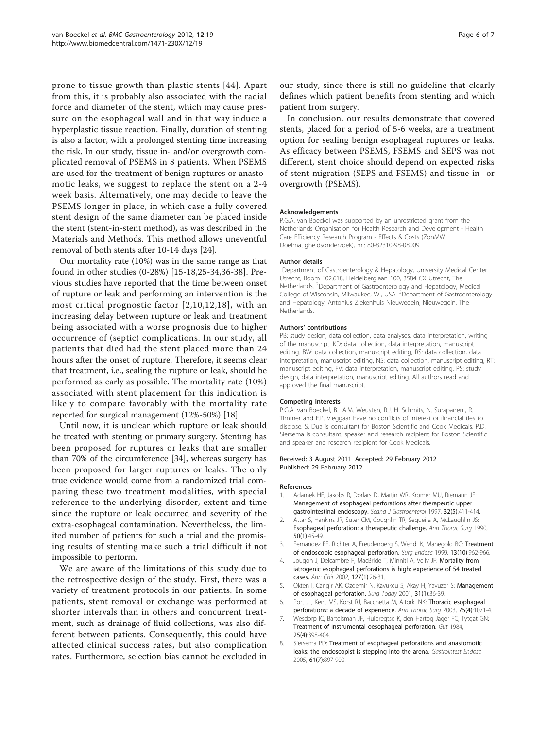<span id="page-5-0"></span>prone to tissue growth than plastic stents [[44\]](#page-6-0). Apart from this, it is probably also associated with the radial force and diameter of the stent, which may cause pressure on the esophageal wall and in that way induce a hyperplastic tissue reaction. Finally, duration of stenting is also a factor, with a prolonged stenting time increasing the risk. In our study, tissue in- and/or overgrowth complicated removal of PSEMS in 8 patients. When PSEMS are used for the treatment of benign ruptures or anastomotic leaks, we suggest to replace the stent on a 2-4 week basis. Alternatively, one may decide to leave the PSEMS longer in place, in which case a fully covered stent design of the same diameter can be placed inside the stent (stent-in-stent method), as was described in the Materials and Methods. This method allows uneventful removal of both stents after 10-14 days [[24\]](#page-6-0).

Our mortality rate (10%) was in the same range as that found in other studies (0-28%) [[15-18,25](#page-6-0)-[34,36](#page-6-0)-[38\]](#page-6-0). Previous studies have reported that the time between onset of rupture or leak and performing an intervention is the most critical prognostic factor [2,[10,12](#page-6-0),[18](#page-6-0)], with an increasing delay between rupture or leak and treatment being associated with a worse prognosis due to higher occurrence of (septic) complications. In our study, all patients that died had the stent placed more than 24 hours after the onset of rupture. Therefore, it seems clear that treatment, i.e., sealing the rupture or leak, should be performed as early as possible. The mortality rate (10%) associated with stent placement for this indication is likely to compare favorably with the mortality rate reported for surgical management (12%-50%) [\[18](#page-6-0)].

Until now, it is unclear which rupture or leak should be treated with stenting or primary surgery. Stenting has been proposed for ruptures or leaks that are smaller than 70% of the circumference [[34](#page-6-0)], whereas surgery has been proposed for larger ruptures or leaks. The only true evidence would come from a randomized trial comparing these two treatment modalities, with special reference to the underlying disorder, extent and time since the rupture or leak occurred and severity of the extra-esophageal contamination. Nevertheless, the limited number of patients for such a trial and the promising results of stenting make such a trial difficult if not impossible to perform.

We are aware of the limitations of this study due to the retrospective design of the study. First, there was a variety of treatment protocols in our patients. In some patients, stent removal or exchange was performed at shorter intervals than in others and concurrent treatment, such as drainage of fluid collections, was also different between patients. Consequently, this could have affected clinical success rates, but also complication rates. Furthermore, selection bias cannot be excluded in

our study, since there is still no guideline that clearly defines which patient benefits from stenting and which patient from surgery.

In conclusion, our results demonstrate that covered stents, placed for a period of 5-6 weeks, are a treatment option for sealing benign esophageal ruptures or leaks. As efficacy between PSEMS, FSEMS and SEPS was not different, stent choice should depend on expected risks of stent migration (SEPS and FSEMS) and tissue in- or overgrowth (PSEMS).

#### Acknowledgements

P.G.A. van Boeckel was supported by an unrestricted grant from the Netherlands Organisation for Health Research and Development - Health Care Efficiency Research Program - Effects & Costs (ZonMW Doelmatigheidsonderzoek), nr.: 80-82310-98-08009.

#### Author details

<sup>1</sup>Department of Gastroenterology & Hepatology, University Medical Center Utrecht, Room F02.618, Heidelberglaan 100, 3584 CX Utrecht, The Netherlands. <sup>2</sup>Department of Gastroenterology and Hepatology, Medical College of Wisconsin, Milwaukee, WI, USA. <sup>3</sup>Department of Gastroenterology and Hepatology, Antonius Ziekenhuis Nieuwegein, Nieuwegein, The Netherlands.

#### Authors' contributions

PB: study design, data collection, data analyses, data interpretation, writing of the manuscript. KD: data collection, data interpretation, manuscript editing. BW: data collection, manuscript editing, RS: data collection, data interpretation, manuscript editing, NS: data collection, manuscript editing, RT: manuscript editing, FV: data interpretation, manuscript editing, PS: study design, data interpretation, manuscript editing. All authors read and approved the final manuscript.

#### Competing interests

P.G.A. van Boeckel, B.L.A.M. Weusten, R.J. H. Schmits, N. Surapaneni, R. Timmer and F.P. Vleggaar have no conflicts of interest or financial ties to disclose. S. Dua is consultant for Boston Scientific and Cook Medicals. P.D. Siersema is consultant, speaker and research recipient for Boston Scientific and speaker and research recipient for Cook Medicals.

#### Received: 3 August 2011 Accepted: 29 February 2012 Published: 29 February 2012

#### References

- 1. Adamek HE, Jakobs R, Dorlars D, Martin WR, Kromer MU, Riemann JF: [Management of esophageal perforations after therapeutic upper](http://www.ncbi.nlm.nih.gov/pubmed/9175199?dopt=Abstract) [gastrointestinal endoscopy.](http://www.ncbi.nlm.nih.gov/pubmed/9175199?dopt=Abstract) Scand J Gastroenterol 1997, 32(5):411-414.
- 2. Attar S, Hankins JR, Suter CM, Coughlin TR, Sequeira A, McLaughlin JS: [Esophageal perforation: a therapeutic challenge.](http://www.ncbi.nlm.nih.gov/pubmed/2369229?dopt=Abstract) Ann Thorac Surg 1990, 50(1):45-49.
- 3. Fernandez FF, Richter A, Freudenberg S, Wendl K, Manegold BC: [Treatment](http://www.ncbi.nlm.nih.gov/pubmed/10526027?dopt=Abstract) [of endoscopic esophageal perforation.](http://www.ncbi.nlm.nih.gov/pubmed/10526027?dopt=Abstract) Surg Endosc 1999, 13(10):962-966.
- 4. Jougon J, Delcambre F, MacBride T, Minniti A, Velly JF: [Mortality from](http://www.ncbi.nlm.nih.gov/pubmed/11833302?dopt=Abstract) [iatrogenic esophageal perforations is high: experience of 54 treated](http://www.ncbi.nlm.nih.gov/pubmed/11833302?dopt=Abstract) [cases.](http://www.ncbi.nlm.nih.gov/pubmed/11833302?dopt=Abstract) Ann Chir 2002, 127(1):26-31.
- 5. Okten I, Cangir AK, Ozdemir N, Kavukcu S, Akay H, Yavuzer S: [Management](http://www.ncbi.nlm.nih.gov/pubmed/11213040?dopt=Abstract) [of esophageal perforation.](http://www.ncbi.nlm.nih.gov/pubmed/11213040?dopt=Abstract) Surg Today 2001, 31(1):36-39.
- 6. Port JL, Kent MS, Korst RJ, Bacchetta M, Altorki NK: [Thoracic esophageal](http://www.ncbi.nlm.nih.gov/pubmed/12683539?dopt=Abstract) [perforations: a decade of experience.](http://www.ncbi.nlm.nih.gov/pubmed/12683539?dopt=Abstract) Ann Thorac Surg 2003, 75(4):1071-4.
- 7. Wesdorp IC, Bartelsman JF, Huibregtse K, den Hartog Jager FC, Tytgat GN: [Treatment of instrumental oesophageal perforation.](http://www.ncbi.nlm.nih.gov/pubmed/6706219?dopt=Abstract) Gut 1984, 25(4):398-404.
- 8. Siersema PD: [Treatment of esophageal perforations and anastomotic](http://www.ncbi.nlm.nih.gov/pubmed/15933697?dopt=Abstract) [leaks: the endoscopist is stepping into the arena.](http://www.ncbi.nlm.nih.gov/pubmed/15933697?dopt=Abstract) Gastrointest Endosc 2005, 61(7):897-900.